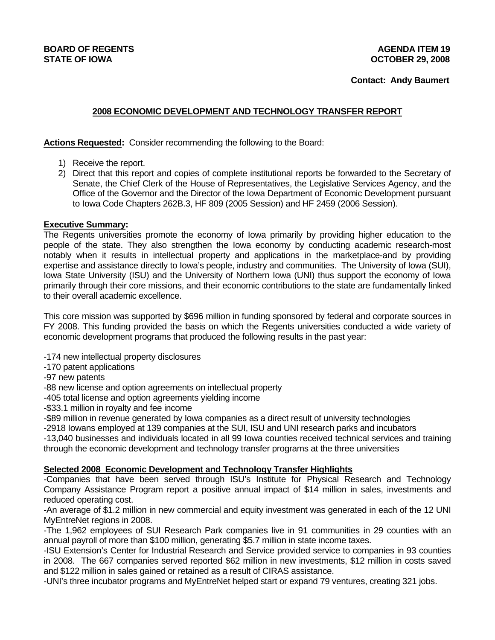## **BOARD OF REGENTS AGENUS AGENERATION CONSUMING AGENERATION AGENERATION AGENERATION AGENERATION OF REGENERA STATE OF IOWA OCTOBER 29, 2008**

 **Contact: Andy Baumert** 

# **2008 ECONOMIC DEVELOPMENT AND TECHNOLOGY TRANSFER REPORT**

**Actions Requested:** Consider recommending the following to the Board:

- 1) Receive the report.
- 2) Direct that this report and copies of complete institutional reports be forwarded to the Secretary of Senate, the Chief Clerk of the House of Representatives, the Legislative Services Agency, and the Office of the Governor and the Director of the Iowa Department of Economic Development pursuant to Iowa Code Chapters 262B.3, HF 809 (2005 Session) and HF 2459 (2006 Session).

### **Executive Summary:**

The Regents universities promote the economy of Iowa primarily by providing higher education to the people of the state. They also strengthen the Iowa economy by conducting academic research-most notably when it results in intellectual property and applications in the marketplace-and by providing expertise and assistance directly to Iowa's people, industry and communities. The University of Iowa (SUI), Iowa State University (ISU) and the University of Northern Iowa (UNI) thus support the economy of Iowa primarily through their core missions, and their economic contributions to the state are fundamentally linked to their overall academic excellence.

This core mission was supported by \$696 million in funding sponsored by federal and corporate sources in FY 2008. This funding provided the basis on which the Regents universities conducted a wide variety of economic development programs that produced the following results in the past year:

- -174 new intellectual property disclosures
- -170 patent applications
- -97 new patents
- -88 new license and option agreements on intellectual property
- -405 total license and option agreements yielding income
- -\$33.1 million in royalty and fee income

-\$89 million in revenue generated by Iowa companies as a direct result of university technologies

-2918 Iowans employed at 139 companies at the SUI, ISU and UNI research parks and incubators

-13,040 businesses and individuals located in all 99 Iowa counties received technical services and training through the economic development and technology transfer programs at the three universities

# **Selected 2008 Economic Development and Technology Transfer Highlights**

-Companies that have been served through ISU's Institute for Physical Research and Technology Company Assistance Program report a positive annual impact of \$14 million in sales, investments and reduced operating cost.

-An average of \$1.2 million in new commercial and equity investment was generated in each of the 12 UNI MyEntreNet regions in 2008.

-The 1,962 employees of SUI Research Park companies live in 91 communities in 29 counties with an annual payroll of more than \$100 million, generating \$5.7 million in state income taxes.

-ISU Extension's Center for Industrial Research and Service provided service to companies in 93 counties in 2008. The 667 companies served reported \$62 million in new investments, \$12 million in costs saved and \$122 million in sales gained or retained as a result of CIRAS assistance.

-UNI's three incubator programs and MyEntreNet helped start or expand 79 ventures, creating 321 jobs.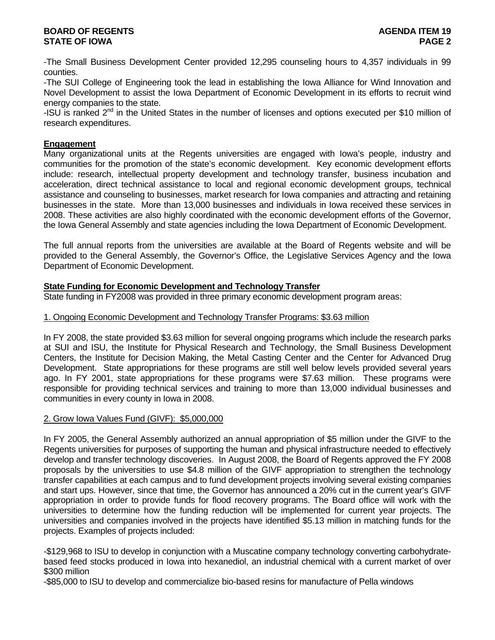-The Small Business Development Center provided 12,295 counseling hours to 4,357 individuals in 99 counties.

-The SUI College of Engineering took the lead in establishing the Iowa Alliance for Wind Innovation and Novel Development to assist the Iowa Department of Economic Development in its efforts to recruit wind energy companies to the state.

-ISU is ranked  $2<sup>nd</sup>$  in the United States in the number of licenses and options executed per \$10 million of research expenditures.

### **Engagement**

Many organizational units at the Regents universities are engaged with Iowa's people, industry and communities for the promotion of the state's economic development. Key economic development efforts include: research, intellectual property development and technology transfer, business incubation and acceleration, direct technical assistance to local and regional economic development groups, technical assistance and counseling to businesses, market research for Iowa companies and attracting and retaining businesses in the state. More than 13,000 businesses and individuals in Iowa received these services in 2008. These activities are also highly coordinated with the economic development efforts of the Governor, the Iowa General Assembly and state agencies including the Iowa Department of Economic Development.

The full annual reports from the universities are available at the Board of Regents website and will be provided to the General Assembly, the Governor's Office, the Legislative Services Agency and the Iowa Department of Economic Development.

### **State Funding for Economic Development and Technology Transfer**

State funding in FY2008 was provided in three primary economic development program areas:

### 1. Ongoing Economic Development and Technology Transfer Programs: \$3.63 million

In FY 2008, the state provided \$3.63 million for several ongoing programs which include the research parks at SUI and ISU, the Institute for Physical Research and Technology, the Small Business Development Centers, the Institute for Decision Making, the Metal Casting Center and the Center for Advanced Drug Development. State appropriations for these programs are still well below levels provided several years ago. In FY 2001, state appropriations for these programs were \$7.63 million. These programs were responsible for providing technical services and training to more than 13,000 individual businesses and communities in every county in Iowa in 2008.

#### 2. Grow Iowa Values Fund (GIVF): \$5,000,000

In FY 2005, the General Assembly authorized an annual appropriation of \$5 million under the GIVF to the Regents universities for purposes of supporting the human and physical infrastructure needed to effectively develop and transfer technology discoveries. In August 2008, the Board of Regents approved the FY 2008 proposals by the universities to use \$4.8 million of the GIVF appropriation to strengthen the technology transfer capabilities at each campus and to fund development projects involving several existing companies and start ups. However, since that time, the Governor has announced a 20% cut in the current year's GIVF appropriation in order to provide funds for flood recovery programs. The Board office will work with the universities to determine how the funding reduction will be implemented for current year projects. The universities and companies involved in the projects have identified \$5.13 million in matching funds for the projects. Examples of projects included:

-\$129,968 to ISU to develop in conjunction with a Muscatine company technology converting carbohydratebased feed stocks produced in Iowa into hexanediol, an industrial chemical with a current market of over \$300 million

-\$85,000 to ISU to develop and commercialize bio-based resins for manufacture of Pella windows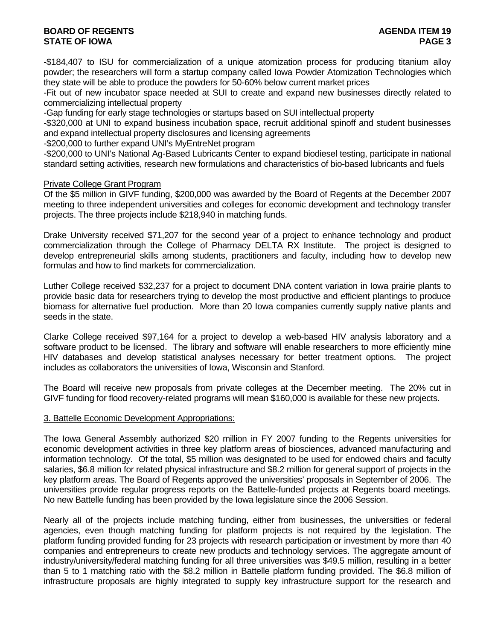# **BOARD OF REGENTS AGENTS** AGENERATION OF REGENERATION OF A SALE AGENERATION OF REGENERATION OF A SALE AGENERATION OF A SALE AGENERATION OF A SALE AGENERATION OF A SALE AGENERATION OF A SALE AGENERATION OF A SALE AGENCIE AG **STATE OF IOWA** PAGE 3

-\$184,407 to ISU for commercialization of a unique atomization process for producing titanium alloy powder; the researchers will form a startup company called Iowa Powder Atomization Technologies which they state will be able to produce the powders for 50-60% below current market prices

-Fit out of new incubator space needed at SUI to create and expand new businesses directly related to commercializing intellectual property

-Gap funding for early stage technologies or startups based on SUI intellectual property

-\$320,000 at UNI to expand business incubation space, recruit additional spinoff and student businesses and expand intellectual property disclosures and licensing agreements

-\$200,000 to further expand UNI's MyEntreNet program

-\$200,000 to UNI's National Ag-Based Lubricants Center to expand biodiesel testing, participate in national standard setting activities, research new formulations and characteristics of bio-based lubricants and fuels

#### Private College Grant Program

Of the \$5 million in GIVF funding, \$200,000 was awarded by the Board of Regents at the December 2007 meeting to three independent universities and colleges for economic development and technology transfer projects. The three projects include \$218,940 in matching funds.

Drake University received \$71,207 for the second year of a project to enhance technology and product commercialization through the College of Pharmacy DELTA RX Institute. The project is designed to develop entrepreneurial skills among students, practitioners and faculty, including how to develop new formulas and how to find markets for commercialization.

Luther College received \$32,237 for a project to document DNA content variation in Iowa prairie plants to provide basic data for researchers trying to develop the most productive and efficient plantings to produce biomass for alternative fuel production. More than 20 Iowa companies currently supply native plants and seeds in the state.

Clarke College received \$97,164 for a project to develop a web-based HIV analysis laboratory and a software product to be licensed. The library and software will enable researchers to more efficiently mine HIV databases and develop statistical analyses necessary for better treatment options. The project includes as collaborators the universities of Iowa, Wisconsin and Stanford.

The Board will receive new proposals from private colleges at the December meeting. The 20% cut in GIVF funding for flood recovery-related programs will mean \$160,000 is available for these new projects.

#### 3. Battelle Economic Development Appropriations:

The Iowa General Assembly authorized \$20 million in FY 2007 funding to the Regents universities for economic development activities in three key platform areas of biosciences, advanced manufacturing and information technology. Of the total, \$5 million was designated to be used for endowed chairs and faculty salaries, \$6.8 million for related physical infrastructure and \$8.2 million for general support of projects in the key platform areas. The Board of Regents approved the universities' proposals in September of 2006. The universities provide regular progress reports on the Battelle-funded projects at Regents board meetings. No new Battelle funding has been provided by the Iowa legislature since the 2006 Session.

Nearly all of the projects include matching funding, either from businesses, the universities or federal agencies, even though matching funding for platform projects is not required by the legislation. The platform funding provided funding for 23 projects with research participation or investment by more than 40 companies and entrepreneurs to create new products and technology services. The aggregate amount of industry/university/federal matching funding for all three universities was \$49.5 million, resulting in a better than 5 to 1 matching ratio with the \$8.2 million in Battelle platform funding provided. The \$6.8 million of infrastructure proposals are highly integrated to supply key infrastructure support for the research and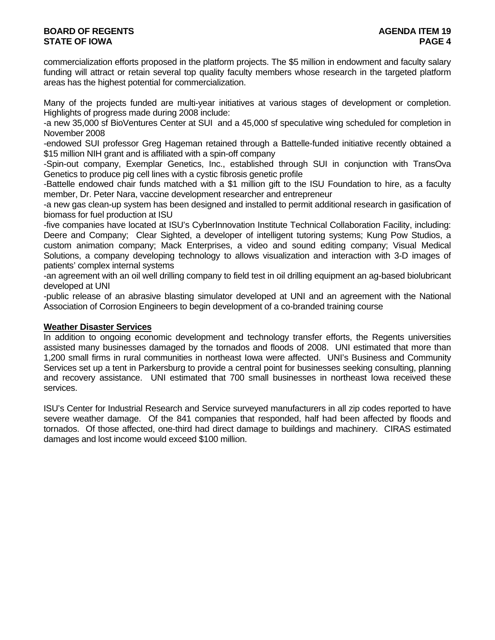# **BOARD OF REGENTS AGENTS** AGENERATION OF REGENERATION OF A SALE AGENERATION OF REGENERATION OF A SALE AGENERATION OF A SALE AGENERATION OF A SALE AGENERATION OF A SALE AGENERATION OF A SALE AGENERATION OF A SALE AGENCIE AG **STATE OF IOWA** PAGE 4

commercialization efforts proposed in the platform projects. The \$5 million in endowment and faculty salary funding will attract or retain several top quality faculty members whose research in the targeted platform areas has the highest potential for commercialization.

Many of the projects funded are multi-year initiatives at various stages of development or completion. Highlights of progress made during 2008 include:

-a new 35,000 sf BioVentures Center at SUI and a 45,000 sf speculative wing scheduled for completion in November 2008

-endowed SUI professor Greg Hageman retained through a Battelle-funded initiative recently obtained a \$15 million NIH grant and is affiliated with a spin-off company

-Spin-out company, Exemplar Genetics, Inc., established through SUI in conjunction with TransOva Genetics to produce pig cell lines with a cystic fibrosis genetic profile

-Battelle endowed chair funds matched with a \$1 million gift to the ISU Foundation to hire, as a faculty member, Dr. Peter Nara, vaccine development researcher and entrepreneur

-a new gas clean-up system has been designed and installed to permit additional research in gasification of biomass for fuel production at ISU

-five companies have located at ISU's CyberInnovation Institute Technical Collaboration Facility, including: Deere and Company; Clear Sighted, a developer of intelligent tutoring systems; Kung Pow Studios, a custom animation company; Mack Enterprises, a video and sound editing company; Visual Medical Solutions, a company developing technology to allows visualization and interaction with 3-D images of patients' complex internal systems

-an agreement with an oil well drilling company to field test in oil drilling equipment an ag-based biolubricant developed at UNI

-public release of an abrasive blasting simulator developed at UNI and an agreement with the National Association of Corrosion Engineers to begin development of a co-branded training course

#### **Weather Disaster Services**

In addition to ongoing economic development and technology transfer efforts, the Regents universities assisted many businesses damaged by the tornados and floods of 2008. UNI estimated that more than 1,200 small firms in rural communities in northeast Iowa were affected. UNI's Business and Community Services set up a tent in Parkersburg to provide a central point for businesses seeking consulting, planning and recovery assistance. UNI estimated that 700 small businesses in northeast Iowa received these services.

ISU's Center for Industrial Research and Service surveyed manufacturers in all zip codes reported to have severe weather damage. Of the 841 companies that responded, half had been affected by floods and tornados. Of those affected, one-third had direct damage to buildings and machinery. CIRAS estimated damages and lost income would exceed \$100 million.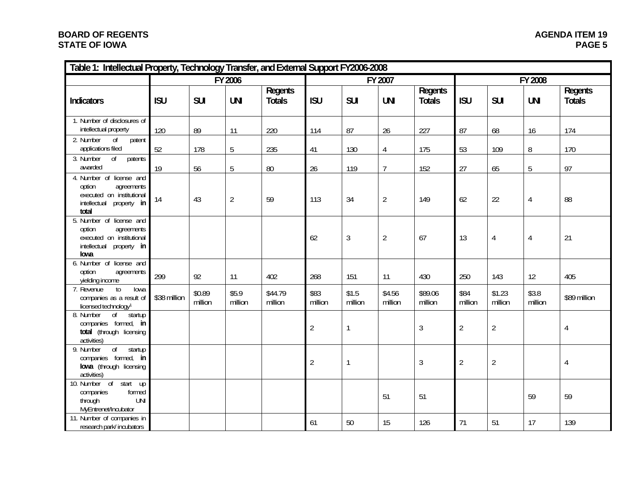# **BOARD OF REGENTS STATE OF IOWA**

| Table 1: Intellectual Property, Technology Transfer, and External Support FY2006-2008                                 |              |                   |                  |                          |                 |                  |                   |                          |                 |                   |                  |                          |
|-----------------------------------------------------------------------------------------------------------------------|--------------|-------------------|------------------|--------------------------|-----------------|------------------|-------------------|--------------------------|-----------------|-------------------|------------------|--------------------------|
|                                                                                                                       | FY 2006      |                   |                  |                          |                 |                  | FY 2007           |                          | FY 2008         |                   |                  |                          |
| <b>Indicators</b>                                                                                                     | <b>ISU</b>   | <b>SUI</b>        | <b>UNI</b>       | Regents<br><b>Totals</b> | <b>ISU</b>      | <b>SUI</b>       | <b>UNI</b>        | Regents<br><b>Totals</b> | <b>ISU</b>      | <b>SUI</b>        | <b>UNI</b>       | Regents<br><b>Totals</b> |
| 1. Number of disclosures of<br>intellectual property                                                                  | 120          | 89                | 11               | 220                      | 114             | 87               | 26                | 227                      | 87              | 68                | 16               | 174                      |
| 2. Number<br>0f<br>patent<br>applications filed                                                                       | 52           | 178               | 5                | 235                      | 41              | 130              | $\overline{4}$    | 175                      | 53              | 109               | 8                | 170                      |
| 0 <sup>f</sup><br>3. Number<br>patents<br>awarded                                                                     | 19           | 56                | 5                | $80\,$                   | 26              | 119              | $\overline{7}$    | 152                      | 27              | 65                | $\overline{5}$   | 97                       |
| 4. Number of license and<br>option<br>agreements<br>executed on institutional<br>intellectual<br>property in<br>total | 14           | 43                | $\overline{2}$   | 59                       | 113             | 34               | $\overline{2}$    | 149                      | 62              | 22                | $\overline{4}$   | 88                       |
| 5. Number of license and<br>option<br>agreements<br>executed on institutional<br>intellectual<br>property in<br>lowa  |              |                   |                  |                          | 62              | $\mathfrak{Z}$   | $\overline{2}$    | 67                       | 13              | $\overline{4}$    | $\overline{4}$   | 21                       |
| 6. Number of license and<br>option<br>agreements<br>yielding income                                                   | 299          | 92                | 11               | 402                      | 268             | 151              | 11                | 430                      | 250             | 143               | 12               | 405                      |
| 7. Revenue<br>to<br>Towa<br>companies as a result of<br>licensed technology <sup>1</sup>                              | \$38 million | \$0.89<br>million | \$5.9<br>million | \$44.79<br>million       | \$83<br>million | \$1.5<br>million | \$4.56<br>million | \$89.06<br>million       | \$84<br>million | \$1.23<br>million | \$3.8<br>million | \$89 million             |
| 8. Number<br>of<br>startup<br>companies formed, in<br>total (through licensing<br>activities)                         |              |                   |                  |                          | $\sqrt{2}$      | $\mathbf{1}$     |                   | $\sqrt{3}$               | $\overline{2}$  | $\overline{2}$    |                  | 4                        |
| $\sigma$<br>startup<br>9. Number<br>companies formed, in<br>lowa (through licensing<br>activities)                    |              |                   |                  |                          | $\overline{2}$  | 1                |                   | $\mathfrak{Z}$           | $\overline{2}$  | $\overline{2}$    |                  | $\overline{4}$           |
| 10. Number of start up<br>companies<br>formed<br>through<br><b>UNI</b><br>MyEntrenet/Incubator                        |              |                   |                  |                          |                 |                  | 51                | 51                       |                 |                   | 59               | 59                       |
| 11. Number of companies in<br>research park/incubators                                                                |              |                   |                  |                          | 61              | 50               | 15                | 126                      | 71              | 51                | 17               | 139                      |